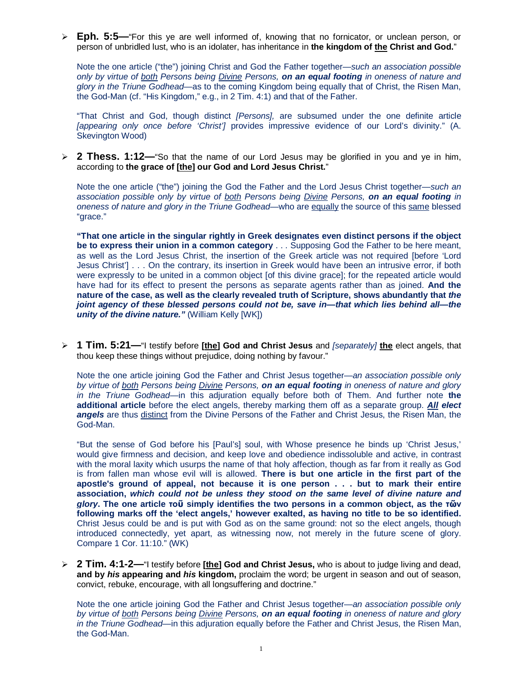**Eph. 5:5—**"For this ye are well informed of, knowing that no fornicator, or unclean person, or person of unbridled lust, who is an idolater, has inheritance in **the kingdom of the Christ and God.**"

Note the one article ("the") joining Christ and God the Father together—*such an association possible only by virtue of both Persons being Divine Persons, on an equal footing in oneness of nature and glory in the Triune Godhead*—as to the coming Kingdom being equally that of Christ, the Risen Man, the God-Man (cf. "His Kingdom," e.g., in 2 Tim. 4:1) and that of the Father.

"That Christ and God, though distinct *[Persons],* are subsumed under the one definite article *[appearing only once before 'Christ']* provides impressive evidence of our Lord's divinity." (A. Skevington Wood)

 **2 Thess. 1:12—**"So that the name of our Lord Jesus may be glorified in you and ye in him, according to **the grace of [the] our God and Lord Jesus Christ.**"

Note the one article ("the") joining the God the Father and the Lord Jesus Christ together—*such an association possible only by virtue of both Persons being Divine Persons, on an equal footing in oneness of nature and glory in the Triune Godhead*—who are equally the source of this same blessed "grace."

**"That one article in the singular rightly in Greek designates even distinct persons if the object be to express their union in a common category** . . . Supposing God the Father to be here meant, as well as the Lord Jesus Christ, the insertion of the Greek article was not required [before 'Lord Jesus Christ'] . . . On the contrary, its insertion in Greek would have been an intrusive error, if both were expressly to be united in a common object [of this divine grace]; for the repeated article would have had for its effect to present the persons as separate agents rather than as joined. **And the nature of the case, as well as the clearly revealed truth of Scripture, shows abundantly that** *the joint agency of these blessed persons could not be, save in—that which lies behind all—the unity of the divine nature.*" (William Kelly [WK])

 **1 Tim. 5:21—**"I testify before **[the] God and Christ Jesus** and *[separately]* **the** elect angels, that thou keep these things without prejudice, doing nothing by favour."

Note the one article joining God the Father and Christ Jesus together—*an association possible only by virtue of both Persons being Divine Persons, on an equal footing in oneness of nature and glory in the Triune Godhead—*in this adjuration equally before both of Them. And further note **the additional article** before the elect angels, thereby marking them off as a separate group. *All elect angels* are thus distinct from the Divine Persons of the Father and Christ Jesus, the Risen Man, the God-Man.

"But the sense of God before his [Paul's] soul, with Whose presence he binds up 'Christ Jesus,' would give firmness and decision, and keep love and obedience indissoluble and active, in contrast with the moral laxity which usurps the name of that holy affection, though as far from it really as God is from fallen man whose evil will is allowed. **There is but one article in the first part of the apostle's ground of appeal, not because it is one person . . . but to mark their entire association,** *which could not be unless they stood on the same level of divine nature and glory***. The one article τοῦ simply identifies the two persons in a common object, as the τῶν following marks off the 'elect angels,' however exalted, as having no title to be so identified.** Christ Jesus could be and is put with God as on the same ground: not so the elect angels, though introduced connectedly, yet apart, as witnessing now, not merely in the future scene of glory. Compare 1 Cor. 11:10." (WK)

 **2 Tim. 4:1-2—**"I testify before **[the] God and Christ Jesus,** who is about to judge living and dead, **and by** *his* **appearing and** *his* **kingdom,** proclaim the word; be urgent in season and out of season, convict, rebuke, encourage, with all longsuffering and doctrine."

Note the one article joining God the Father and Christ Jesus together—*an association possible only by virtue of both Persons being Divine Persons, on an equal footing in oneness of nature and glory in the Triune Godhead—*in this adjuration equally before the Father and Christ Jesus, the Risen Man, the God-Man.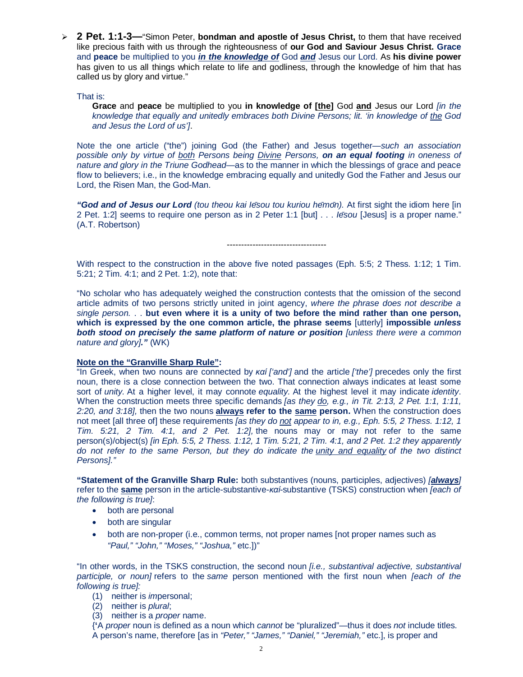**2 Pet. 1:1-3—**"Simon Peter, **bondman and apostle of Jesus Christ,** to them that have received like precious faith with us through the righteousness of **our God and Saviour Jesus Christ. Grace** and **peace** be multiplied to you *in the knowledge of* God *and* Jesus our Lord. As **his divine power** has given to us all things which relate to life and godliness, through the knowledge of him that has called us by glory and virtue."

That is:

**Grace** and **peace** be multiplied to you **in knowledge of [the]** God **and** Jesus our Lord *[in the knowledge that equally and unitedly embraces both Divine Persons; lit. 'in knowledge of the God and Jesus the Lord of us']*.

Note the one article ("the") joining God (the Father) and Jesus together—*such an association possible only by virtue of both Persons being Divine Persons, on an equal footing in oneness of nature and glory in the Triune Godhead*—as to the manner in which the blessings of grace and peace flow to believers; i.e., in the knowledge embracing equally and unitedly God the Father and Jesus our Lord, the Risen Man, the God-Man.

*"God and of Jesus our Lord (tou theou kai Iēsou tou kuriou hēmōn).* At first sight the idiom here [in 2 Pet. 1:2] seems to require one person as in 2 Peter 1:1 [but] . . . *Iēsou* [Jesus] is a proper name." (A.T. Robertson)

-----------------------------------

With respect to the construction in the above five noted passages (Eph. 5:5; 2 Thess. 1:12; 1 Tim. 5:21; 2 Tim. 4:1; and 2 Pet. 1:2), note that:

"No scholar who has adequately weighed the construction contests that the omission of the second article admits of two persons strictly united in joint agency, *where the phrase does not describe a single person.* . . **but even where it is a unity of two before the mind rather than one person, which is expressed by the one common article, the phrase seems** [utterly] **impossible** *unless both stood on precisely the same platform of nature or position [unless there were a common nature and glory]."* (WK)

## **Note on the "Granville Sharp Rule":**

"In Greek, when two nouns are connected by *καί ['and']* and the article *['the']* precedes only the first noun, there is a close connection between the two. That connection always indicates at least some sort of *unity.* At a higher level, it may connote *equality.* At the highest level it may indicate *identity*. When the construction meets three specific demands *[as they do, e.g., in Tit. 2:13, 2 Pet. 1:1, 1:11, 2:20, and 3:18],* then the two nouns **always refer to the same person.** When the construction does not meet [all three of] these requirements *[as they do not appear to in, e.g., Eph. 5:5, 2 Thess. 1:12, 1 Tim. 5:21, 2 Tim. 4:1, and 2 Pet. 1:2],* the nouns may or may not refer to the same person(s)/object(s) *[in Eph. 5:5, 2 Thess. 1:12, 1 Tim. 5:21, 2 Tim. 4:1, and 2 Pet. 1:2 they apparently do not refer to the same Person, but they do indicate the unity and equality of the two distinct Persons]."*

**"Statement of the Granville Sharp Rule:** both substantives (nouns, participles, adjectives) *[always]* refer to the **same** person in the article-substantive-*καί*-substantive (TSKS) construction when *[each of the following is true]*:

- both are personal
- both are singular
- both are non-proper (i.e., common terms, not proper names [not proper names such as *"Paul," "John," "Moses," "Joshua,"* etc.])"

"In other words, in the TSKS construction, the second noun *[i.e., substantival adjective, substantival participle, or noun]* refers to the *same* person mentioned with the first noun when *[each of the following is true]:*

- (1) neither is *im*personal;
- (2) neither is *plural*;
- (3) neither is a *proper* name.

{**'**A *proper* noun is defined as a noun which *cannot* be "pluralized"—thus it does *not* include titles. A person's name, therefore [as in *"Peter," "James," "Daniel," "Jeremiah,"* etc.], is proper and